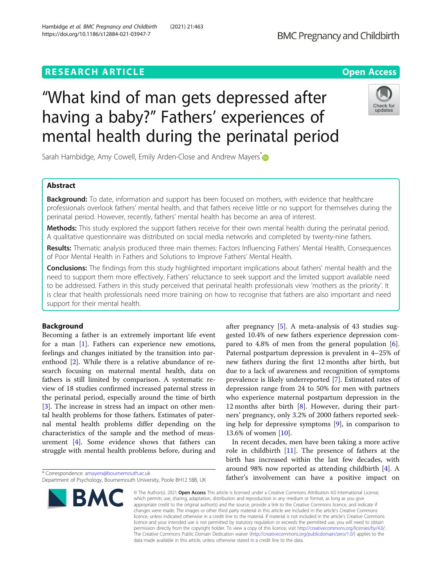# **RESEARCH ARTICLE Example 2014 CONSIDERING A RESEARCH ARTICLE**

# "What kind of man gets depressed after having a baby?" Fathers' experiences of mental health during the perinatal period



Sarah Hambidge, Amy Cowell, Emily Arden-Close and Andrew Mayers <sup>[\\*](http://orcid.org/0000-0003-2298-498X)</sup>

# Abstract

**Background:** To date, information and support has been focused on mothers, with evidence that healthcare professionals overlook fathers' mental health, and that fathers receive little or no support for themselves during the perinatal period. However, recently, fathers' mental health has become an area of interest.

Methods: This study explored the support fathers receive for their own mental health during the perinatal period. A qualitative questionnaire was distributed on social media networks and completed by twenty-nine fathers.

Results: Thematic analysis produced three main themes: Factors Influencing Fathers' Mental Health, Consequences of Poor Mental Health in Fathers and Solutions to Improve Fathers' Mental Health.

Conclusions: The findings from this study highlighted important implications about fathers' mental health and the need to support them more effectively. Fathers' reluctance to seek support and the limited support available need to be addressed. Fathers in this study perceived that perinatal health professionals view 'mothers as the priority'. It is clear that health professionals need more training on how to recognise that fathers are also important and need support for their mental health.

## Background

Becoming a father is an extremely important life event for a man [[1\]](#page-7-0). Fathers can experience new emotions, feelings and changes initiated by the transition into parenthood [[2\]](#page-8-0). While there is a relative abundance of research focusing on maternal mental health, data on fathers is still limited by comparison. A systematic review of 18 studies confirmed increased paternal stress in the perinatal period, especially around the time of birth [[3\]](#page-8-0). The increase in stress had an impact on other mental health problems for those fathers. Estimates of paternal mental health problems differ depending on the characteristics of the sample and the method of measurement [[4\]](#page-8-0). Some evidence shows that fathers can struggle with mental health problems before, during and

Department of Psychology, Bournemouth University, Poole BH12 5BB, UK



after pregnancy [\[5\]](#page-8-0). A meta-analysis of 43 studies suggested 10.4% of new fathers experience depression compared to 4.8% of men from the general population [\[6](#page-8-0)]. Paternal postpartum depression is prevalent in 4–25% of new fathers during the first 12 months after birth, but due to a lack of awareness and recognition of symptoms prevalence is likely underreported [[7\]](#page-8-0). Estimated rates of depression range from 24 to 50% for men with partners who experience maternal postpartum depression in the 12 months after birth [[8\]](#page-8-0). However, during their partners' pregnancy, only 3.2% of 2000 fathers reported seeking help for depressive symptoms [[9\]](#page-8-0), in comparison to 13.6% of women [\[10](#page-8-0)].

In recent decades, men have been taking a more active role in childbirth [\[11\]](#page-8-0). The presence of fathers at the birth has increased within the last few decades, with around 98% now reported as attending childbirth [[4\]](#page-8-0). A father's involvement can have a positive impact on

© The Author(s), 2021 **Open Access** This article is licensed under a Creative Commons Attribution 4.0 International License, which permits use, sharing, adaptation, distribution and reproduction in any medium or format, as long as you give appropriate credit to the original author(s) and the source, provide a link to the Creative Commons licence, and indicate if changes were made. The images or other third party material in this article are included in the article's Creative Commons licence, unless indicated otherwise in a credit line to the material. If material is not included in the article's Creative Commons licence and your intended use is not permitted by statutory regulation or exceeds the permitted use, you will need to obtain permission directly from the copyright holder. To view a copy of this licence, visit [http://creativecommons.org/licenses/by/4.0/.](http://creativecommons.org/licenses/by/4.0/) The Creative Commons Public Domain Dedication waiver [\(http://creativecommons.org/publicdomain/zero/1.0/](http://creativecommons.org/publicdomain/zero/1.0/)) applies to the data made available in this article, unless otherwise stated in a credit line to the data.

<sup>\*</sup> Correspondence: [amayers@bournemouth.ac.uk](mailto:amayers@bournemouth.ac.uk)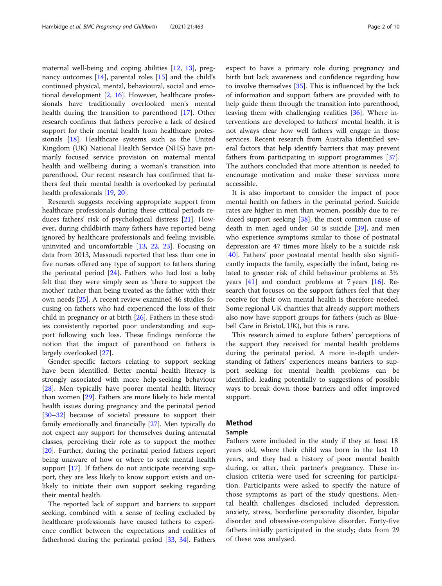maternal well-being and coping abilities [\[12](#page-8-0), [13](#page-8-0)], pregnancy outcomes [[14\]](#page-8-0), parental roles [[15\]](#page-8-0) and the child's continued physical, mental, behavioural, social and emotional development [\[2](#page-8-0), [16](#page-8-0)]. However, healthcare professionals have traditionally overlooked men's mental health during the transition to parenthood [[17](#page-8-0)]. Other research confirms that fathers perceive a lack of desired support for their mental health from healthcare professionals [[18\]](#page-8-0). Healthcare systems such as the United Kingdom (UK) National Health Service (NHS) have primarily focused service provision on maternal mental health and wellbeing during a woman's transition into parenthood. Our recent research has confirmed that fathers feel their mental health is overlooked by perinatal health professionals [[19](#page-8-0), [20](#page-8-0)].

Research suggests receiving appropriate support from healthcare professionals during these critical periods reduces fathers' risk of psychological distress [[21\]](#page-8-0). However, during childbirth many fathers have reported being ignored by healthcare professionals and feeling invisible, uninvited and uncomfortable [[13](#page-8-0), [22,](#page-8-0) [23](#page-8-0)]. Focusing on data from 2013, Massoudi reported that less than one in five nurses offered any type of support to fathers during the perinatal period [\[24](#page-8-0)]. Fathers who had lost a baby felt that they were simply seen as 'there to support the mother' rather than being treated as the father with their own needs [[25](#page-8-0)]. A recent review examined 46 studies focusing on fathers who had experienced the loss of their child in pregnancy or at birth [[26\]](#page-8-0). Fathers in these studies consistently reported poor understanding and support following such loss. These findings reinforce the notion that the impact of parenthood on fathers is largely overlooked [\[27](#page-8-0)].

Gender-specific factors relating to support seeking have been identified. Better mental health literacy is strongly associated with more help-seeking behaviour [[28\]](#page-8-0). Men typically have poorer mental health literacy than women [\[29](#page-8-0)]. Fathers are more likely to hide mental health issues during pregnancy and the perinatal period [[30](#page-8-0)–[32](#page-8-0)] because of societal pressure to support their family emotionally and financially [[27](#page-8-0)]. Men typically do not expect any support for themselves during antenatal classes, perceiving their role as to support the mother [[20\]](#page-8-0). Further, during the perinatal period fathers report being unaware of how or where to seek mental health support [\[17](#page-8-0)]. If fathers do not anticipate receiving support, they are less likely to know support exists and unlikely to initiate their own support seeking regarding their mental health.

The reported lack of support and barriers to support seeking, combined with a sense of feeling excluded by healthcare professionals have caused fathers to experience conflict between the expectations and realities of fatherhood during the perinatal period [[33,](#page-8-0) [34](#page-8-0)]. Fathers expect to have a primary role during pregnancy and birth but lack awareness and confidence regarding how to involve themselves [\[35\]](#page-8-0). This is influenced by the lack of information and support fathers are provided with to help guide them through the transition into parenthood, leaving them with challenging realities [\[36](#page-8-0)]. Where interventions are developed to fathers' mental health, it is not always clear how well fathers will engage in those services. Recent research from Australia identified several factors that help identify barriers that may prevent fathers from participating in support programmes [\[37](#page-8-0)]. The authors concluded that more attention is needed to encourage motivation and make these services more accessible.

It is also important to consider the impact of poor mental health on fathers in the perinatal period. Suicide rates are higher in men than women, possibly due to reduced support seeking [\[38\]](#page-8-0), the most common cause of death in men aged under 50 is suicide  $[39]$ , and men who experience symptoms similar to those of postnatal depression are 47 times more likely to be a suicide risk [[40\]](#page-8-0). Fathers' poor postnatal mental health also significantly impacts the family, especially the infant, being related to greater risk of child behaviour problems at 3½ years [[41\]](#page-8-0) and conduct problems at 7 years [[16\]](#page-8-0). Research that focuses on the support fathers feel that they receive for their own mental health is therefore needed. Some regional UK charities that already support mothers also now have support groups for fathers (such as Bluebell Care in Bristol, UK), but this is rare.

This research aimed to explore fathers' perceptions of the support they received for mental health problems during the perinatal period. A more in-depth understanding of fathers' experiences means barriers to support seeking for mental health problems can be identified, leading potentially to suggestions of possible ways to break down those barriers and offer improved support.

# Method

# Sample

Fathers were included in the study if they at least 18 years old, where their child was born in the last 10 years, and they had a history of poor mental health during, or after, their partner's pregnancy. These inclusion criteria were used for screening for participation. Participants were asked to specify the nature of those symptoms as part of the study questions. Mental health challenges disclosed included depression, anxiety, stress, borderline personality disorder, bipolar disorder and obsessive-compulsive disorder. Forty-five fathers initially participated in the study; data from 29 of these was analysed.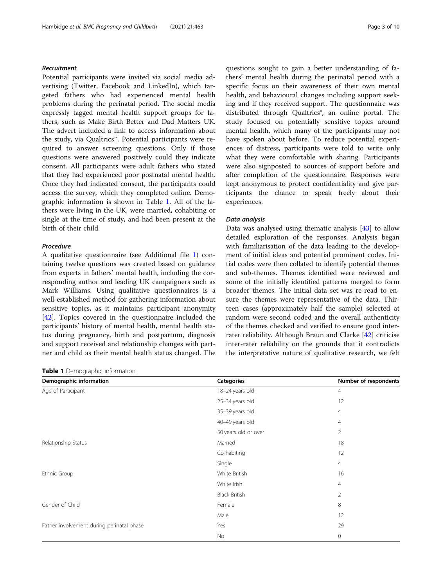# Recruitment

Potential participants were invited via social media advertising (Twitter, Facebook and LinkedIn), which targeted fathers who had experienced mental health problems during the perinatal period. The social media expressly tagged mental health support groups for fathers, such as Make Birth Better and Dad Matters UK. The advert included a link to access information about the study, via Qualtrics™. Potential participants were required to answer screening questions. Only if those questions were answered positively could they indicate consent. All participants were adult fathers who stated that they had experienced poor postnatal mental health. Once they had indicated consent, the participants could access the survey, which they completed online. Demographic information is shown in Table 1. All of the fathers were living in the UK, were married, cohabiting or single at the time of study, and had been present at the birth of their child.

## Procedure

A qualitative questionnaire (see Additional file [1](#page-7-0)) containing twelve questions was created based on guidance from experts in fathers' mental health, including the corresponding author and leading UK campaigners such as Mark Williams. Using qualitative questionnaires is a well-established method for gathering information about sensitive topics, as it maintains participant anonymity [[42\]](#page-8-0). Topics covered in the questionnaire included the participants' history of mental health, mental health status during pregnancy, birth and postpartum, diagnosis and support received and relationship changes with partner and child as their mental health status changed. The

Table 1 Demographic information

questions sought to gain a better understanding of fathers' mental health during the perinatal period with a specific focus on their awareness of their own mental health, and behavioural changes including support seeking and if they received support. The questionnaire was distributed through Qualtrics<sup>®</sup>, an online portal. The study focused on potentially sensitive topics around mental health, which many of the participants may not have spoken about before. To reduce potential experiences of distress, participants were told to write only what they were comfortable with sharing. Participants were also signposted to sources of support before and after completion of the questionnaire. Responses were kept anonymous to protect confidentiality and give participants the chance to speak freely about their experiences.

#### Data analysis

Data was analysed using thematic analysis [\[43\]](#page-8-0) to allow detailed exploration of the responses. Analysis began with familiarisation of the data leading to the development of initial ideas and potential prominent codes. Initial codes were then collated to identify potential themes and sub-themes. Themes identified were reviewed and some of the initially identified patterns merged to form broader themes. The initial data set was re-read to ensure the themes were representative of the data. Thirteen cases (approximately half the sample) selected at random were second coded and the overall authenticity of the themes checked and verified to ensure good interrater reliability. Although Braun and Clarke [[42\]](#page-8-0) criticise inter-rater reliability on the grounds that it contradicts the interpretative nature of qualitative research, we felt

| Demographic information                   | <b>Categories</b>    | Number of respondents |
|-------------------------------------------|----------------------|-----------------------|
| Age of Participant                        | 18-24 years old      | $\overline{4}$        |
|                                           | 25-34 years old      | 12                    |
|                                           | 35-39 years old      | 4                     |
|                                           | 40-49 years old      | 4                     |
|                                           | 50 years old or over | 2                     |
| Relationship Status                       | Married              | 18                    |
|                                           | Co-habiting          | 12                    |
|                                           | Single               | 4                     |
| Ethnic Group                              | White British        | 16                    |
|                                           | White Irish          | $\overline{4}$        |
|                                           | <b>Black British</b> | 2                     |
| Gender of Child                           | Female               | 8                     |
|                                           | Male                 | 12                    |
| Father involvement during perinatal phase | Yes                  | 29                    |
|                                           | No                   | 0                     |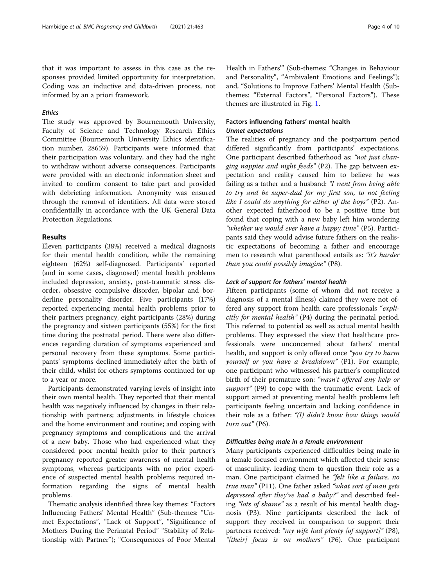that it was important to assess in this case as the responses provided limited opportunity for interpretation. Coding was an inductive and data-driven process, not informed by an a priori framework.

# Ethics

The study was approved by Bournemouth University, Faculty of Science and Technology Research Ethics Committee (Bournemouth University Ethics identification number, 28659). Participants were informed that their participation was voluntary, and they had the right to withdraw without adverse consequences. Participants were provided with an electronic information sheet and invited to confirm consent to take part and provided with debriefing information. Anonymity was ensured through the removal of identifiers. All data were stored confidentially in accordance with the UK General Data Protection Regulations.

# Results

Eleven participants (38%) received a medical diagnosis for their mental health condition, while the remaining eighteen (62%) self-diagnosed. Participants' reported (and in some cases, diagnosed) mental health problems included depression, anxiety, post-traumatic stress disorder, obsessive compulsive disorder, bipolar and borderline personality disorder. Five participants (17%) reported experiencing mental health problems prior to their partners pregnancy, eight participants (28%) during the pregnancy and sixteen participants (55%) for the first time during the postnatal period. There were also differences regarding duration of symptoms experienced and personal recovery from these symptoms. Some participants' symptoms declined immediately after the birth of their child, whilst for others symptoms continued for up to a year or more.

Participants demonstrated varying levels of insight into their own mental health. They reported that their mental health was negatively influenced by changes in their relationship with partners; adjustments in lifestyle choices and the home environment and routine; and coping with pregnancy symptoms and complications and the arrival of a new baby. Those who had experienced what they considered poor mental health prior to their partner's pregnancy reported greater awareness of mental health symptoms, whereas participants with no prior experience of suspected mental health problems required information regarding the signs of mental health problems.

Thematic analysis identified three key themes: "Factors Influencing Fathers' Mental Health" (Sub-themes: "Unmet Expectations", "Lack of Support", "Significance of Mothers During the Perinatal Period" "Stability of Relationship with Partner"); "Consequences of Poor Mental Health in Fathers'" (Sub-themes: "Changes in Behaviour and Personality", "Ambivalent Emotions and Feelings"); and, "Solutions to Improve Fathers' Mental Health (Subthemes: "External Factors", "Personal Factors"). These themes are illustrated in Fig. [1](#page-4-0).

# Factors influencing fathers' mental health Unmet expectations

The realities of pregnancy and the postpartum period differed significantly from participants' expectations. One participant described fatherhood as: "not just changing nappies and night feeds" (P2). The gap between expectation and reality caused him to believe he was failing as a father and a husband: "I went from being able to try and be super-dad for my first son, to not feeling like I could do anything for either of the boys" (P2). Another expected fatherhood to be a positive time but found that coping with a new baby left him wondering "whether we would ever have a happy time" (P5). Participants said they would advise future fathers on the realistic expectations of becoming a father and encourage men to research what parenthood entails as: "it's harder than you could possibly imagine" (P8).

# Lack of support for fathers' mental health

Fifteen participants (some of whom did not receive a diagnosis of a mental illness) claimed they were not offered any support from health care professionals "explicitly for mental health" (P4) during the perinatal period. This referred to potential as well as actual mental health problems. They expressed the view that healthcare professionals were unconcerned about fathers' mental health, and support is only offered once "you try to harm yourself or you have a breakdown" (P1). For example, one participant who witnessed his partner's complicated birth of their premature son: "wasn't offered any help or support" (P9) to cope with the traumatic event. Lack of support aimed at preventing mental health problems left participants feeling uncertain and lacking confidence in their role as a father: "(I) didn't know how things would turn out" (P6).

## Difficulties being male in a female environment

Many participants experienced difficulties being male in a female focused environment which affected their sense of masculinity, leading them to question their role as a man. One participant claimed he "felt like a failure, no true man" (P11). One father asked "what sort of man gets depressed after they've had a baby?" and described feeling "lots of shame" as a result of his mental health diagnosis (P3). Nine participants described the lack of support they received in comparison to support their partners received: "*my wife had plenty [of support]*" (P8), "[their] focus is on mothers" (P6). One participant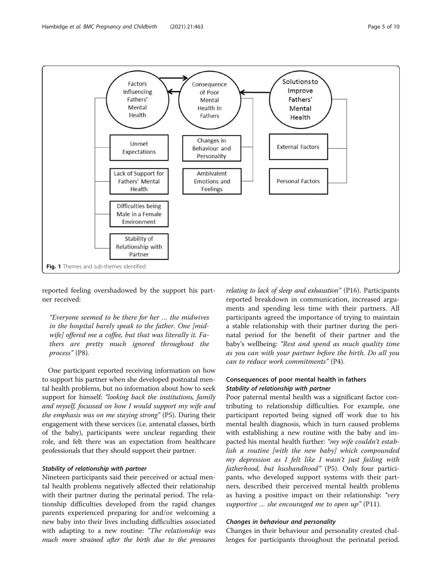<span id="page-4-0"></span>

reported feeling overshadowed by the support his partner received:

"Everyone seemed to be there for her … the midwives in the hospital barely speak to the father. One [midwife] offered me a coffee, but that was literally it. Fathers are pretty much ignored throughout the process" (P8).

One participant reported receiving information on how to support his partner when she developed postnatal mental health problems, but no information about how to seek support for himself: "looking back the institutions, family and myself, focussed on how I would support my wife and the emphasis was on me staying strong" (P5). During their engagement with these services (i.e. antenatal classes, birth of the baby), participants were unclear regarding their role, and felt there was an expectation from healthcare professionals that they should support their partner.

# Stability of relationship with partner

Nineteen participants said their perceived or actual mental health problems negatively affected their relationship with their partner during the perinatal period. The relationship difficulties developed from the rapid changes parents experienced preparing for and/or welcoming a new baby into their lives including difficulties associated with adapting to a new routine: "The relationship was much more strained after the birth due to the pressures

relating to lack of sleep and exhaustion" (P16). Participants reported breakdown in communication, increased arguments and spending less time with their partners. All participants agreed the importance of trying to maintain a stable relationship with their partner during the perinatal period for the benefit of their partner and the baby's wellbeing: "Rest and spend as much quality time as you can with your partner before the birth. Do all you can to reduce work commitments" (P4).

# Consequences of poor mental health in fathers Stability of relationship with partner

Poor paternal mental health was a significant factor contributing to relationship difficulties. For example, one participant reported being signed off work due to his mental health diagnosis, which in turn caused problems with establishing a new routine with the baby and impacted his mental health further: "my wife couldn't establish a routine [with the new baby] which compounded my depression as I felt like I wasn't just failing with fatherhood, but husbandhood" (P5). Only four participants, who developed support systems with their partners, described their perceived mental health problems as having a positive impact on their relationship: "very supportive ... she encouraged me to open up" (P11).

#### Changes in behaviour and personality

Changes in their behaviour and personality created challenges for participants throughout the perinatal period.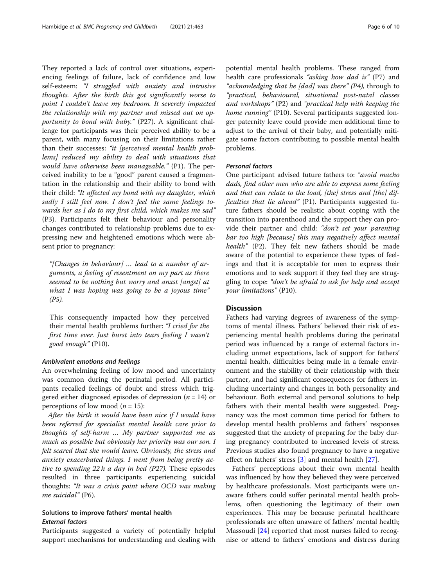They reported a lack of control over situations, experiencing feelings of failure, lack of confidence and low self-esteem: "I struggled with anxiety and intrusive thoughts. After the birth this got significantly worse to point I couldn't leave my bedroom. It severely impacted the relationship with my partner and missed out on opportunity to bond with baby." (P27). A significant challenge for participants was their perceived ability to be a parent, with many focusing on their limitations rather than their successes: "it [perceived mental health problems] reduced my ability to deal with situations that would have otherwise been manageable." (P1). The perceived inability to be a "good" parent caused a fragmentation in the relationship and their ability to bond with their child: "It affected my bond with my daughter, which sadly I still feel now. I don't feel the same feelings towards her as I do to my first child, which makes me sad" (P3). Participants felt their behaviour and personality changes contributed to relationship problems due to expressing new and heightened emotions which were absent prior to pregnancy:

"[Changes in behaviour] … lead to a number of arguments, a feeling of resentment on my part as there seemed to be nothing but worry and anxst [angst] at what I was hoping was going to be a joyous time" (P5).

This consequently impacted how they perceived their mental health problems further: "I cried for the first time ever. Just burst into tears feeling I wasn't good enough" (P10).

#### Ambivalent emotions and feelings

An overwhelming feeling of low mood and uncertainty was common during the perinatal period. All participants recalled feelings of doubt and stress which triggered either diagnosed episodes of depression  $(n = 14)$  or perceptions of low mood ( $n = 15$ ):

After the birth it would have been nice if I would have been referred for specialist mental health care prior to thoughts of self-harm … My partner supported me as much as possible but obviously her priority was our son. I felt scared that she would leave. Obviously, the stress and anxiety exacerbated things. I went from being pretty active to spending  $22 h a day$  in bed (P27). These episodes resulted in three participants experiencing suicidal thoughts: "It was a crisis point where OCD was making me suicidal" (P6).

# Solutions to improve fathers' mental health External factors

Participants suggested a variety of potentially helpful support mechanisms for understanding and dealing with

potential mental health problems. These ranged from health care professionals "asking how dad is" (P7) and "acknowledging that he [dad] was there" (P4), through to "practical, behavioural, situational post-natal classes and workshops" (P2) and "practical help with keeping the home running" (P10). Several participants suggested longer paternity leave could provide men additional time to adjust to the arrival of their baby, and potentially mitigate some factors contributing to possible mental health problems.

# Personal factors

One participant advised future fathers to: "avoid macho dads, find other men who are able to express some feeling and that can relate to the load, [the] stress and [the] difficulties that lie ahead" (P1). Participants suggested future fathers should be realistic about coping with the transition into parenthood and the support they can provide their partner and child: "don't set your parenting bar too high [because] this may negatively affect mental health" (P2). They felt new fathers should be made aware of the potential to experience these types of feelings and that it is acceptable for men to express their emotions and to seek support if they feel they are struggling to cope: "don't be afraid to ask for help and accept your limitations" (P10).

## **Discussion**

Fathers had varying degrees of awareness of the symptoms of mental illness. Fathers' believed their risk of experiencing mental health problems during the perinatal period was influenced by a range of external factors including unmet expectations, lack of support for fathers' mental health, difficulties being male in a female environment and the stability of their relationship with their partner, and had significant consequences for fathers including uncertainty and changes in both personality and behaviour. Both external and personal solutions to help fathers with their mental health were suggested. Pregnancy was the most common time period for fathers to develop mental health problems and fathers' responses suggested that the anxiety of preparing for the baby during pregnancy contributed to increased levels of stress. Previous studies also found pregnancy to have a negative effect on fathers' stress [\[3](#page-8-0)] and mental health [[27\]](#page-8-0).

Fathers' perceptions about their own mental health was influenced by how they believed they were perceived by healthcare professionals. Most participants were unaware fathers could suffer perinatal mental health problems, often questioning the legitimacy of their own experiences. This may be because perinatal healthcare professionals are often unaware of fathers' mental health; Massoudi [\[24](#page-8-0)] reported that most nurses failed to recognise or attend to fathers' emotions and distress during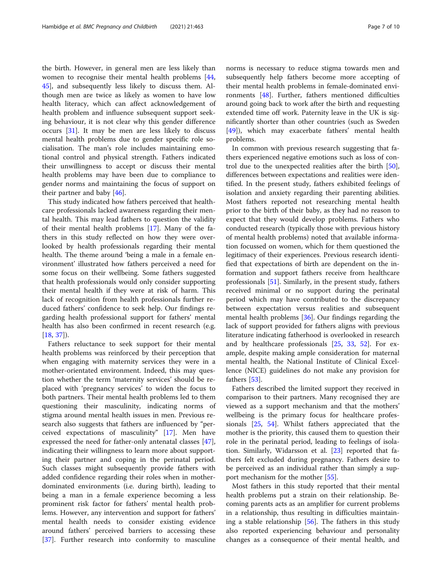the birth. However, in general men are less likely than women to recognise their mental health problems [[44](#page-8-0), [45\]](#page-9-0), and subsequently less likely to discuss them. Although men are twice as likely as women to have low health literacy, which can affect acknowledgement of health problem and influence subsequent support seek-

ing behaviour, it is not clear why this gender difference occurs [[31\]](#page-8-0). It may be men are less likely to discuss mental health problems due to gender specific role socialisation. The man's role includes maintaining emotional control and physical strength. Fathers indicated their unwillingness to accept or discuss their mental health problems may have been due to compliance to gender norms and maintaining the focus of support on their partner and baby [[46\]](#page-9-0).

This study indicated how fathers perceived that healthcare professionals lacked awareness regarding their mental health. This may lead fathers to question the validity of their mental health problems [[17](#page-8-0)]. Many of the fathers in this study reflected on how they were overlooked by health professionals regarding their mental health. The theme around 'being a male in a female environment' illustrated how fathers perceived a need for some focus on their wellbeing. Some fathers suggested that health professionals would only consider supporting their mental health if they were at risk of harm. This lack of recognition from health professionals further reduced fathers' confidence to seek help. Our findings regarding health professional support for fathers' mental health has also been confirmed in recent research (e.g. [[18,](#page-8-0) [37\]](#page-8-0)).

Fathers reluctance to seek support for their mental health problems was reinforced by their perception that when engaging with maternity services they were in a mother-orientated environment. Indeed, this may question whether the term 'maternity services' should be replaced with 'pregnancy services' to widen the focus to both partners. Their mental health problems led to them questioning their masculinity, indicating norms of stigma around mental health issues in men. Previous research also suggests that fathers are influenced by "perceived expectations of masculinity" [\[17](#page-8-0)]. Men have expressed the need for father-only antenatal classes [\[47](#page-9-0)], indicating their willingness to learn more about supporting their partner and coping in the perinatal period. Such classes might subsequently provide fathers with added confidence regarding their roles when in motherdominated environments (i.e. during birth), leading to being a man in a female experience becoming a less prominent risk factor for fathers' mental health problems. However, any intervention and support for fathers' mental health needs to consider existing evidence around fathers' perceived barriers to accessing these [[37\]](#page-8-0). Further research into conformity to masculine

norms is necessary to reduce stigma towards men and subsequently help fathers become more accepting of their mental health problems in female-dominated environments [\[48\]](#page-9-0). Further, fathers mentioned difficulties around going back to work after the birth and requesting extended time off work. Paternity leave in the UK is significantly shorter than other countries (such as Sweden [[49\]](#page-9-0)), which may exacerbate fathers' mental health problems.

In common with previous research suggesting that fathers experienced negative emotions such as loss of control due to the unexpected realities after the birth [\[50](#page-9-0)], differences between expectations and realities were identified. In the present study, fathers exhibited feelings of isolation and anxiety regarding their parenting abilities. Most fathers reported not researching mental health prior to the birth of their baby, as they had no reason to expect that they would develop problems. Fathers who conducted research (typically those with previous history of mental health problems) noted that available information focussed on women, which for them questioned the legitimacy of their experiences. Previous research identified that expectations of birth are dependent on the information and support fathers receive from healthcare professionals [[51\]](#page-9-0). Similarly, in the present study, fathers received minimal or no support during the perinatal period which may have contributed to the discrepancy between expectation versus realities and subsequent mental health problems [\[36](#page-8-0)]. Our findings regarding the lack of support provided for fathers aligns with previous literature indicating fatherhood is overlooked in research and by healthcare professionals [[25,](#page-8-0) [33](#page-8-0), [52](#page-9-0)]. For example, despite making ample consideration for maternal mental health, the National Institute of Clinical Excellence (NICE) guidelines do not make any provision for fathers [\[53](#page-9-0)].

Fathers described the limited support they received in comparison to their partners. Many recognised they are viewed as a support mechanism and that the mothers' wellbeing is the primary focus for healthcare professionals [[25,](#page-8-0) [54](#page-9-0)]. Whilst fathers appreciated that the mother is the priority, this caused them to question their role in the perinatal period, leading to feelings of isolation. Similarly, Widarsson et al. [\[23](#page-8-0)] reported that fathers felt excluded during pregnancy. Fathers desire to be perceived as an individual rather than simply a support mechanism for the mother [[55\]](#page-9-0).

Most fathers in this study reported that their mental health problems put a strain on their relationship. Becoming parents acts as an amplifier for current problems in a relationship, thus resulting in difficulties maintaining a stable relationship [[56](#page-9-0)]. The fathers in this study also reported experiencing behaviour and personality changes as a consequence of their mental health, and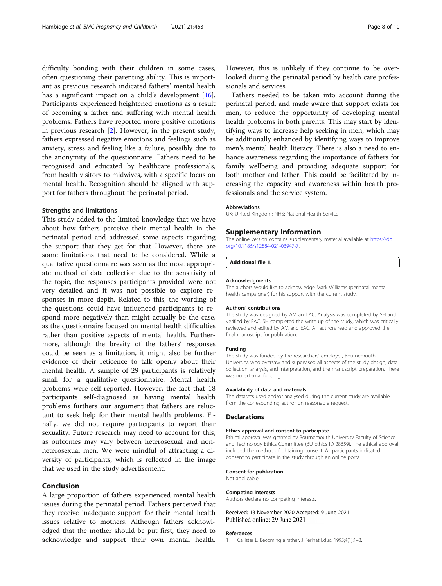<span id="page-7-0"></span>difficulty bonding with their children in some cases, often questioning their parenting ability. This is important as previous research indicated fathers' mental health has a significant impact on a child's development [\[16](#page-8-0)]. Participants experienced heightened emotions as a result of becoming a father and suffering with mental health problems. Fathers have reported more positive emotions in previous research [[2\]](#page-8-0). However, in the present study, fathers expressed negative emotions and feelings such as anxiety, stress and feeling like a failure, possibly due to the anonymity of the questionnaire. Fathers need to be recognised and educated by healthcare professionals, from health visitors to midwives, with a specific focus on mental health. Recognition should be aligned with support for fathers throughout the perinatal period.

#### Strengths and limitations

This study added to the limited knowledge that we have about how fathers perceive their mental health in the perinatal period and addressed some aspects regarding the support that they get for that However, there are some limitations that need to be considered. While a qualitative questionnaire was seen as the most appropriate method of data collection due to the sensitivity of the topic, the responses participants provided were not very detailed and it was not possible to explore responses in more depth. Related to this, the wording of the questions could have influenced participants to respond more negatively than might actually be the case, as the questionnaire focused on mental health difficulties rather than positive aspects of mental health. Furthermore, although the brevity of the fathers' responses could be seen as a limitation, it might also be further evidence of their reticence to talk openly about their mental health. A sample of 29 participants is relatively small for a qualitative questionnaire. Mental health problems were self-reported. However, the fact that 18 participants self-diagnosed as having mental health problems furthers our argument that fathers are reluctant to seek help for their mental health problems. Finally, we did not require participants to report their sexuality. Future research may need to account for this, as outcomes may vary between heterosexual and nonheterosexual men. We were mindful of attracting a diversity of participants, which is reflected in the image that we used in the study advertisement.

# Conclusion

A large proportion of fathers experienced mental health issues during the perinatal period. Fathers perceived that they receive inadequate support for their mental health issues relative to mothers. Although fathers acknowledged that the mother should be put first, they need to acknowledge and support their own mental health.

However, this is unlikely if they continue to be overlooked during the perinatal period by health care professionals and services.

Fathers needed to be taken into account during the perinatal period, and made aware that support exists for men, to reduce the opportunity of developing mental health problems in both parents. This may start by identifying ways to increase help seeking in men, which may be additionally enhanced by identifying ways to improve men's mental health literacy. There is also a need to enhance awareness regarding the importance of fathers for family wellbeing and providing adequate support for both mother and father. This could be facilitated by increasing the capacity and awareness within health professionals and the service system.

#### Abbreviations

UK: United Kingdom; NHS: National Health Service

#### Supplementary Information

The online version contains supplementary material available at [https://doi.](https://doi.org/10.1186/s12884-021-03947-7) [org/10.1186/s12884-021-03947-7.](https://doi.org/10.1186/s12884-021-03947-7)

Additional file 1.

#### Acknowledgments

The authors would like to acknowledge Mark Williams (perinatal mental health campaigner) for his support with the current study.

#### Authors' contributions

The study was designed by AM and AC. Analysis was completed by SH and verified by EAC. SH completed the write up of the study, which was critically reviewed and edited by AM and EAC. All authors read and approved the final manuscript for publication.

#### Funding

The study was funded by the researchers' employer, Bournemouth University, who oversaw and supervised all aspects of the study design, data collection, analysis, and interpretation, and the manuscript preparation. There was no external funding.

#### Availability of data and materials

The datasets used and/or analysed during the current study are available from the corresponding author on reasonable request.

#### Declarations

#### Ethics approval and consent to participate

Ethical approval was granted by Bournemouth University Faculty of Science and Technology Ethics Committee (BU Ethics ID 28659). The ethical approval included the method of obtaining consent. All participants indicated consent to participate in the study through an online portal.

#### Consent for publication

Not applicable.

#### Competing interests

Authors declare no competing interests.

Received: 13 November 2020 Accepted: 9 June 2021 Published online: 29 June 2021

#### References

1. Callister L. Becoming a father. J Perinat Educ. 1995;4(1):1–8.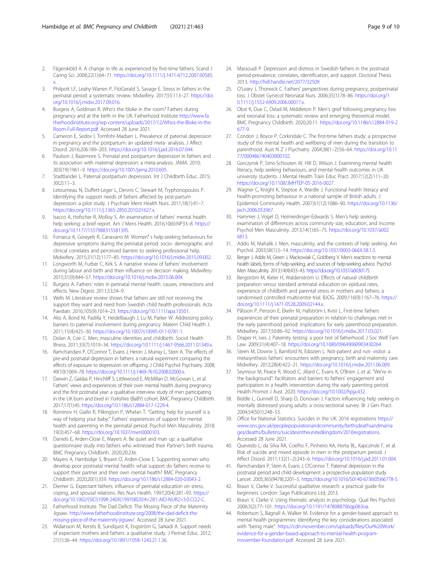- <span id="page-8-0"></span>2. Fägerskiöld A. A change in life as experienced by first-time fathers. Scand J Caring Sci. 2008;22(1):64–71. [https://doi.org/10.1111/j.1471-6712.2007.00585.](https://doi.org/10.1111/j.1471-6712.2007.00585.x) [x.](https://doi.org/10.1111/j.1471-6712.2007.00585.x)
- 3. Philpott LF, Leahy-Warren P, FitzGerald S, Savage E. Stress in fathers in the perinatal period: a systematic review. Midwifery. 2017;55:113–27. [https://doi.](https://doi.org/10.1016/j.midw.2017.09.016) [org/10.1016/j.midw.2017.09.016](https://doi.org/10.1016/j.midw.2017.09.016).
- Burgess A, Goldman R. Who's the bloke in the room? Fathers during pregnancy and at the birth in the UK. Fatherhood Institute [http://www.fa](http://www.fatherhoodinstitute.org/wp-content/uploads/2017/12/Whos-the-Bloke-in-the-Room-Full-Report.pdf) [therhoodinstitute.org/wp-content/uploads/2017/12/Whos-the-Bloke-in-the-](http://www.fatherhoodinstitute.org/wp-content/uploads/2017/12/Whos-the-Bloke-in-the-Room-Full-Report.pdf)[Room-Full-Report.pdf](http://www.fatherhoodinstitute.org/wp-content/uploads/2017/12/Whos-the-Bloke-in-the-Room-Full-Report.pdf). Accessed 28 June 2021.
- 5. Cameron E, Sedov I, Tomfohr-Madsen L. Prevalence of paternal depression in pregnancy and the postpartum: an updated meta- analysis. J Affect Disord. 2016;206:189–203. [https://doi.org/10.1016/j.jad.2016.07.044.](https://doi.org/10.1016/j.jad.2016.07.044)
- 6. Paulson J, Bazemore S. Prenatal and postpartum depression in fathers and its association with maternal depression: a meta-analysis. JAMA. 2010; 303(19):1961–9. [https://doi.org/10.1001/jama.2010.605.](https://doi.org/10.1001/jama.2010.605)
- 7. Stadtlander L. Paternal postpartum depression. Int J Childbirth Educ. 2015; 30(2):11–3.
- Letourneau N, Duffett-Leger L, Dennis C, Stewart M, Tryphonopoulos P. Identifying the support needs of fathers affected by post-partum depression: a pilot study. J Psychiatr Ment Health Nurs. 2011;18(1):41–7. <https://doi.org/10.1111/j.1365-2850.2010.01627.x>.
- 9. Isacco A, Hofscher R, Molloy S. An examination of fathers' mental health help seeking: a brief report. Am J Mens Health. 2016;10(6):NP33–8. [https://](https://doi.org/10.1177/1557988315581395) [doi.org/10.1177/1557988315581395.](https://doi.org/10.1177/1557988315581395)
- 10. Fonseca A, Gorayeb R, Canavarro M. Women′ s help-seeking behaviours for depressive symptoms during the perinatal period: socio- demographic and clinical correlates and perceived barriers to seeking professional help. Midwifery. 2015;31(12):1177–85. <https://doi.org/10.1016/j.midw.2015.09.002>.
- 11. Longworth M, Furber C, Kirk S. A narrative review of fathers' involvement during labour and birth and their influence on decision making. Midwifery. 2015;31(9):844–57. <https://doi.org/10.1016/j.midw.2015.06.004>.
- 12. Burgess A. Fathers' roles in perinatal mental health: causes, interactions and effects. New Digest. 2011;53:24–9.
- 13. Wells M. Literature review shows that fathers are still not receiving the support they want and need from Swedish child health professionals. Acta Paediatr. 2016;105(9):1014–23. <https://doi.org/10.1111/apa.13501>.
- 14. Alio A, Bond M, Padilla Y, Heidelbaugh J, Lu M, Parker W. Addressing policy barriers to paternal involvement during pregnancy. Matern Child Health J. 2011;15(4):425–30. <https://doi.org/10.1007/s10995-011-0781-1>.
- 15. Dolan A, Coe C. Men, masculine identities and childbirth. Sociol Health Illness. 2011;33(7):1019–34. [https://doi.org/10.1111/j.1467-9566.2011.01349.x.](https://doi.org/10.1111/j.1467-9566.2011.01349.x)
- 16. Ramchandani P, O'Connor T, Evans J, Heron J, Murray L, Stein A. The effects of pre-and postnatal depression in fathers: a natural experiment comparing the effects of exposure to depression on offspring. J Child Psychol Psychiatry. 2008; 49(10):1069–78. <https://doi.org/10.1111/j.1469-7610.2008.02000.x>.
- 17. Darwin Z, Galdas P, Hinchliff S, Littlewood E, McMillan D, McGowan L, et al. Fathers' views and experiences of their own mental health during pregnancy and the first postnatal year: a qualitative interview study of men participating in the UK born and bred in Yorkshire (BaBY) cohort. BMC Pregnancy Childbirth. 2017;17(1):45. <https://doi.org/10.1186/s12884-017-1229-4>.
- 18. Rominov H, Giallo R, Pilkington P, Whelan T. "Getting help for yourself is a way of helping your baby:" Fathers' experiences of support for mental health and parenting in the perinatal period. Psychol Men Masculinity. 2018; 19(3):457–68. [https://doi.org/10.1037/men0000103.](https://doi.org/10.1037/men0000103)
- 19. Daniels E, Arden-Close E, Mayers A. Be quiet and man up: a qualitative questionnaire study into fathers who witnessed their Partner's birth trauma. BMC Pregnancy Childbirth. 2020;20:236.
- 20. Mayers A, Hambidge S, Bryant O, Arden-Close E. Supporting women who develop poor postnatal mental health: what support do fathers receive to support their partner and their own mental health? BMC Pregnancy Childbirth. 2020;20(1):359. <https://doi.org/10.1186/s12884-020-03043-2>.
- 21. Diemer G. Expectant fathers: influence of perinatal education on stress, coping, and spousal relations. Res Nurs Health. 1997;20(4):281–93. [https://](https://doi.org/10.1002/(SICI)1098-240X(199708)20:4<281::AID-NUR2>3.0.CO;2-C) [doi.org/10.1002/\(SICI\)1098-240X\(199708\)20:4<281::AID-NUR2>3.0.CO;2-C.](https://doi.org/10.1002/(SICI)1098-240X(199708)20:4<281::AID-NUR2>3.0.CO;2-C)
- 22. Fatherhood Institute. The Dad Deficit: The Missing Piece of the Maternity Jigsaw. [http://www.fatherhoodinstitute.org/2008/the-dad-deficit-the](http://www.fatherhoodinstitute.org/2008/the-dad-deficit-the-missing-piece-of-the-maternity-jigsaw/)[missing-piece-of-the-maternity-jigsaw/](http://www.fatherhoodinstitute.org/2008/the-dad-deficit-the-missing-piece-of-the-maternity-jigsaw/). Accessed 28 June 2021.
- 23. Widarsson M, Kerstis B, Sundquist K, Engström G, Sarkadi A. Support needs of expectant mothers and fathers: a qualitative study. J Perinat Educ. 2012; 21(1):36–44. [https://doi.org/10.1891/1058-1243.21.1.36.](https://doi.org/10.1891/1058-1243.21.1.36)
- 24. Massoudi P. Depression and distress in Swedish fathers in the postnatal period-prevalence, correlates, identification, and support. Doctoral Thesis 2013. <http://hdl.handle.net/2077/32509>
- 25. O'Leary J, Thorwick C. Fathers' perspectives during pregnancy, postperinatal loss. J Obstet Gynecol Neonatal Nurs. 2006;35(1):78–86. [https://doi.org/1](https://doi.org/10.1111/j.1552-6909.2006.00017.x) [0.1111/j.1552-6909.2006.00017.x.](https://doi.org/10.1111/j.1552-6909.2006.00017.x)
- 26. Obst K, Due C, Oxlad M, Middleton P. Men's grief following pregnancy loss and neonatal loss: a systematic review and emerging theoretical model. BMC Pregnancy Childbirth. 2020;20:11. [https://doi.org/10.1186/s12884-019-2](https://doi.org/10.1186/s12884-019-2677-9) [677-9](https://doi.org/10.1186/s12884-019-2677-9).
- 27. Condon J, Boyce P, Corkindale C. The first-time fathers study: a prospective study of the mental health and wellbeing of men during the transition to parenthood. Aust N Z J Psychiatry. 2004;38(1–2):56–64. [https://doi.org/10.11](https://doi.org/10.1177/000486740403800102) [77/000486740403800102](https://doi.org/10.1177/000486740403800102).
- 28. Gorczynsk P, Sims-Schouten W, Hill D, Wilson J. Examining mental health literacy, help seeking behaviours, and mental health outcomes in UK university students. J Mental Health Train Educ Pract. 2017;12(2):111–20. [https://doi.org/10.1108/JMHTEP-05-2016-0027.](https://doi.org/10.1108/JMHTEP-05-2016-0027)
- 29. Wagner C, Knight K, Steptoe A, Wardle J. Functional health literacy and health-promoting behaviour in a national sample of British adults. J Epidemiol Community Health. 2007;61(12):1086–90. [https://doi.org/10.1136/](https://doi.org/10.1136/jech.2006.053967) [jech.2006.053967.](https://doi.org/10.1136/jech.2006.053967)
- 30. Hammer J, Vogel D, Heimerdinger-Edwards S. Men's help seeking: examination of differences across community size, education, and income. Psychol Men Masculinity. 2013;14(1):65–75. [https://doi.org/10.1037/a002](https://doi.org/10.1037/a0026813) [6813](https://doi.org/10.1037/a0026813).
- 31. Addis M, Mahalik J. Men, masculinity, and the contexts of help seeking. Am Psychol. 2003;58(1):5–14. [https://doi.org/10.1037/0003-066X.58.1.5.](https://doi.org/10.1037/0003-066X.58.1.5)
- Berger J, Addis M, Green J, Mackowiak C, Goldberg V. Men's reactions to mental health labels, forms of help-seeking, and sources of help-seeking advice. Psychol Men Masculinity. 2013;14(4):433–43. <https://doi.org/10.1037/a0030175>.
- 33. Bergström M, Kieler H, Waldenström U. Effects of natural childbirth preparation versus standard antenatal education on epidural rates, experience of childbirth and parental stress in mothers and fathers: a randomised controlled multicentre trial. BJOG. 2009;116(9):1167–76. [https://](https://doi.org/10.1111/j.1471-0528.2009.02144.x) [doi.org/10.1111/j.1471-0528.2009.02144.x.](https://doi.org/10.1111/j.1471-0528.2009.02144.x)
- 34. Pålsson P, Persson E, Ekelin M, Hallström I, Kvist L. First-time fathers experiences of their prenatal preparation in relation to challenges met in the early parenthood period: implications for early parenthood preparation. Midwifery. 2017;50:86–92. [https://doi.org/10.1016/j.midw.2017.03.021.](https://doi.org/10.1016/j.midw.2017.03.021)
- 35. Draper H, Ives J. Paternity testing: a poor test of fatherhood. J Soc Welf Fam Law. 2009;31(4):407–18. [https://doi.org/10.1080/09649060903430264.](https://doi.org/10.1080/09649060903430264)
- 36. Steen M, Downe S, Bamford N, Edozien L. Not-patient and not- visitor: a metasynthesis fathers' encounters with pregnancy, birth and maternity care. Midwifery. 2012;28(4):422–31. <https://doi.org/10.1016/j.midw.2011.06.009>.
- 37. Seymour M, Peace R, Wood C, Jillard C, Evans K, O'Brien J, et al. "We're in the background": facilitators and barriers to fathers' engagement and participation in a health intervention during the early parenting period. Health Promot J Aust. 2020. <https://doi.org/10.1002/hpja.432>.
- 38. Biddle L, Gunnell D, Sharp D, Donovan J. Factors influencing help seeking in mentally distressed young adults: a cross-sectional survey. Br J Gen Pract. 2004;54(501):248–53.
- 39. Office for National Statistics. Suicides in the UK: 2016 registrations [https://](https://www.ons.gov.uk/peoplepopulationandcommunity/birthsdeathsandmarriages/deaths/bulletins/suicidesintheunitedkingdom/2016registrations) [www.ons.gov.uk/peoplepopulationandcommunity/birthsdeathsandmarria](https://www.ons.gov.uk/peoplepopulationandcommunity/birthsdeathsandmarriages/deaths/bulletins/suicidesintheunitedkingdom/2016registrations) [ges/deaths/bulletins/suicidesintheunitedkingdom/2016registrations](https://www.ons.gov.uk/peoplepopulationandcommunity/birthsdeathsandmarriages/deaths/bulletins/suicidesintheunitedkingdom/2016registrations). Accessed 28 June 2021.
- 40. Quevedo L, da Silva RA, Coelho F, Pinheiro KA, Horta BL, Kapczinski F, et al. Risk of suicide and mixed episode in men in the postpartum period. J Affect Disord. 2011;132(1–2):243–6. [https://doi.org/10.1016/j.jad.2011.01.004.](https://doi.org/10.1016/j.jad.2011.01.004)
- 41. Ramchandani P, Stein A, Evans J, O'Connor T. Paternal depression in the postnatal period and child development: a prospective population study. Lancet. 2005;365(9478):2201–5. [https://doi.org/10.1016/S0140-6736\(05\)66778-5](https://doi.org/10.1016/S0140-6736(05)66778-5).
- 42. Braun V, Clarke V. Successful qualitative research: a practical guide for beginners. London: Sage Publications Ltd; 2013.
- 43. Braun V, Clarke V. Using thematic analysis in psychology. Qual Res Psychol. 2006;3(2):77–101. [https://doi.org/10.1191/1478088706qp063oa.](https://doi.org/10.1191/1478088706qp063oa)
- 44. Robertson S, Bagnall A, Walker M. Evidence for a gender-based approach to mental health programmes: Identifying the key considerations associated with "being male". [https://cdn.movember.com/uploads/files/Our%20Work/](https://cdn.movember.com/uploads/files/Our%20Work/evidence-for-a-gender-based-approach-to-mental-health-program-movember-foundation.pdf) [evidence-for-a-gender-based-approach-to-mental-health-program](https://cdn.movember.com/uploads/files/Our%20Work/evidence-for-a-gender-based-approach-to-mental-health-program-movember-foundation.pdf)[movember-foundation.pdf](https://cdn.movember.com/uploads/files/Our%20Work/evidence-for-a-gender-based-approach-to-mental-health-program-movember-foundation.pdf). Accessed 28 June 2021.